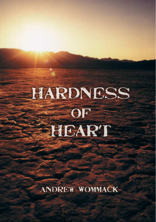# HARDNESS OF HEART

**ANDREW WOMMACK**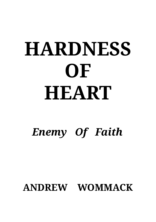# **HARDNESS OF HEART**

# *Enemy Of Faith*

# **ANDREW WOMMACK**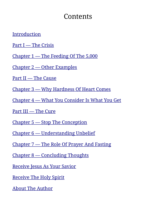### **Contents**

[Introduction](#page-3-0)

- Part I The Crisis
- [Chapter 1 The Feeding Of The 5,000](#page-5-0)
- [Chapter 2 Other Examples](#page-12-0)
- Part II The Cause
- [Chapter 3 Why Hardness Of Heart Comes](#page-22-0)
- [Chapter 4 What You Consider Is What You Get](#page-28-0)
- [Part III The Cure](#page-52-0)
- [Chapter 5 Stop The Conception](#page-53-0)
- [Chapter 6 Understanding Unbelief](#page-61-0)
- [Chapter 7 The Role Of Prayer And Fasting](#page-68-0)
- [Chapter 8 Concluding Thoughts](#page-76-0)
- [Receive Jesus As Your Savior](#page-82-0)
- [Receive The Holy Spirit](#page-83-0)
- [About The Author](#page-85-0)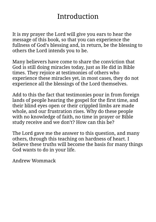## <span id="page-3-0"></span>**Introduction**

It is my prayer the Lord will give you ears to hear the message of this book, so that you can experience the fullness of God's blessing and, in return, be the blessing to others the Lord intends you to be.

Many believers have come to share the conviction that God is still doing miracles today, just as He did in Bible times. They rejoice at testimonies of others who experience these miracles yet, in most cases, they do not experience all the blessings of the Lord themselves.

Add to this the fact that testimonies pour in from foreign lands of people hearing the gospel for the first time, and their blind eyes open or their crippled limbs are made whole, and our frustration rises. Why do these people with no knowledge of faith, no time in prayer or Bible study receive and we don't? How can this be?

The Lord gave me the answer to this question, and many others, through this teaching on hardness of heart. I believe these truths will become the basis for many things God wants to do in your life.

Andrew Wommack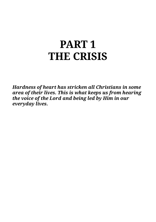# <span id="page-4-0"></span>**PART 1 THE CRISIS**

*Hardness of heart has stricken all Christians in some area of their lives. This is what keeps us from hearing the voice of the Lord and being led by Him in our everyday lives.*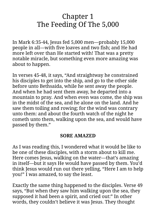## <span id="page-5-0"></span>Chapter 1 The Feeding Of The 5,000

In Mark 6:35-44, Jesus fed 5,000 men—probably 15,000 people in all—with five loaves and two fish; and He had more left over than He started with! That was a pretty notable miracle, but something even more amazing was about to happen.

In verses 45-48, it says, "And straightway he constrained his disciples to get into the ship, and go to the other side before unto Bethsaida, while he sent away the people. And when he had sent them away, he departed into a mountain to pray. And when even was come, the ship was in the midst of the sea, and he alone on the land. And he saw them toiling and rowing; for the wind was contrary unto them: and about the fourth watch of the night he cometh unto them, walking upon the sea, and would have passed by them."

#### **SORE AMAZED**

As I was reading this, I wondered what it would be like to be one of these disciples, with a storm about to kill me. Here comes Jesus, walking on the water—that's amazing in itself—but it says He would have passed by them. You'd think Jesus would run out there yelling, "Here I am to help you!" I was amazed, to say the least.

Exactly the same thing happened to the disciples. Verse 49 says, "But when they saw him walking upon the sea, they supposed it had been a spirit, and cried out:" In other words, they couldn't believe it was Jesus. They thought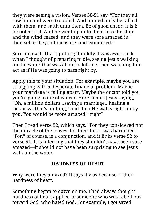they were seeing a vision. Verses 50-51 say, "For they all saw him and were troubled. And immediately he talked with them, and saith unto them, Be of good cheer: it is I; be not afraid. And he went up unto them into the ship; and the wind ceased: and they were sore amazed in themselves beyond measure, and wondered."

Sore amazed! That's putting it mildly. I was awestruck when I thought of preparing to die, seeing Jesus walking on the water that was about to kill me, then watching him act as if He was going to pass right by.

Apply this to your situation. For example, maybe you are struggling with a desperate financial problem. Maybe your marriage is falling apart. Maybe the doctor told you you're going to die of cancer. Here comes Jesus saying, "Oh, a million dollars...saving a marriage...healing a sickness...that's nothing," and then He walks right on by you. You would be "sore amazed," right?

Then I read verse 52, which says, "For they considered not the miracle of the loaves: for their heart was hardened." "For," of course, is a conjunction, and it links verse 52 to verse 51. It is inferring that they shouldn't have been sore amazed—it should not have been surprising to see Jesus walk on the water.

#### **HARDNESS OF HEART**

Why were they amazed? It says it was because of their hardness of heart.

Something began to dawn on me. I had always thought hardness of heart applied to someone who was rebellious toward God, who hated God. For example, I got saved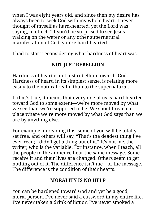when I was eight years old, and since then my desire has always been to seek God with my whole heart. I never thought of myself as hard-hearted, yet the Lord was saying, in effect, "If you'd be surprised to see Jesus walking on the water or any other supernatural manifestation of God, you're hard-hearted."

I had to start reconsidering what hardness of heart was.

#### **NOT JUST REBELLION**

Hardness of heart is not just rebellion towards God. Hardness of heart, in its simplest sense, is relating more easily to the natural realm than to the supernatural.

If that's true, it means that every one of us is hard-hearted toward God to some extent—we're more moved by what we see than we're supposed to be. We should reach a place where we're more moved by what God says than we are by anything else.

For example, in reading this, some of you will be totally set free, and others will say, "That's the deadest thing I've ever read; I didn't get a thing out of it." It's not me, the writer, who is the variable. For instance, when I teach, all the people in the audience hear the same message. Some receive it and their lives are changed. Others seem to get nothing out of it. The difference isn't me—or the message. The difference is the condition of their hearts.

#### **MORALITY IS NO HELP**

You can be hardened toward God and yet be a good, moral person. I've never said a cussword in my entire life. I've never taken a drink of liquor. I've never smoked a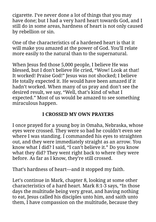cigarette. I've never done a lot of things that you may have done; but I had a very hard heart towards God, and I still do in some areas, hardness of heart is not only caused by rebellion or sin.

One of the characteristics of a hardened heart is that it will make you amazed at the power of God. You'll relate more easily to the natural than to the supernatural.

When Jesus fed those 5,000 people, I believe He was blessed, but I don't believe He cried, "Wow! Look at that! It worked! Praise God!" Jesus was not shocked; I believe He totally expected it. He would have been amazed if it hadn't worked. When many of us pray and don't see the desired result, we say, "Well, that's kind of what I expected." Most of us would be amazed to see something miraculous happen.

#### **I CROSSED MY OWN PRAYERS**

I once prayed for a young boy in Omaha, Nebraska, whose eyes were crossed. They were so bad he couldn't even see where I was standing. I commanded his eyes to straighten out, and they were immediately straight as an arrow. You know what I did? I said, "I can't believe it." Do you know what they did? They went right back to where they were before. As far as I know, they're still crossed.

That's hardness of heart—and it stopped my faith.

Let's continue in Mark, chapter 8, looking at some other characteristics of a hard heart. Mark 8:1-3 says, "In those days the multitude being very great, and having nothing to eat, Jesus called his disciples unto him, and saith unto them, I have compassion on the multitude, because they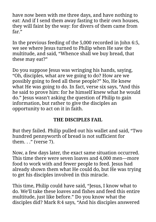have now been with me three days, and have nothing to eat: And if I send them away fasting to their own houses, they will faint by the way: for divers of them came from far."

In the previous feeding of the 5,000 recorded in John 6:5, we see where Jesus turned to Philip when He saw the multitude, and said, "Whence shall we buy bread, that these may eat?"

Do you suppose Jesus was wringing his hands, saying, "Oh, disciples, what are we going to do? How are we possibly going to feed all these people?" No, He knew what He was going to do. In fact, verse six says, "And this he said to prove him: for he himself knew what he would do." Jesus wasn't asking the question of Philip to gain information, but rather to give the disciples an opportunity to act on it in faith.

#### **THE DISCIPLES FAIL**

But they failed. Philip pulled out his wallet and said, "Two hundred pennyworth of bread is not sufficient for them. . ." (verse 7).

Now, a few days later, the exact same situation occurred. This time there were seven loaves and 4,000 men—more food to work with and fewer people to feed. Jesus had already shown them what He could do, but He was trying to get his disciples involved in this miracle.

This time, Philip could have said, "Jesus, I know what to do. We'll take these loaves and fishes and feed this entire multitude, just like before." Do you know what the disciples did? Mark 8:4 says, "And his disciples answered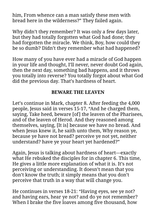him, From whence can a man satisfy these men with bread here in the wilderness?" They failed again.

Why didn't they remember? It was only a few days later, but they had totally forgotten what God had done; they had forgotten the miracle. We think, Boy, how could they be so dumb? Didn't they remember what had happened?

How many of you have ever had a miracle of God happen in your life and thought, I'll never, never doubt God again, then the next day, something bad happens, and it throws you totally into reverse? You totally forgot about what God did the previous day. That's hardness of heart.

#### **BEWARE THE LEAVEN**

Let's continue in Mark, chapter 8. After feeding the 4,000 people, Jesus said in verses 15-17, "And he charged them, saying, Take heed, beware [of] the leaven of the Pharisees, and of the leaven of Herod. And they reasoned among themselves, saying, [It is] because we have no bread. And when Jesus knew it, he saith unto them, Why reason ye, because ye have not bread? perceive ye not yet, neither understand? have ye your heart yet hardened?"

Again, Jesus is talking about hardness of heart—exactly what He rebuked the disciples for in chapter 6. This time, He gives a little more explanation of what it is. It's not perceiving or understanding. It doesn't mean that you don't know the truth; it simply means that you don't perceive that truth in a way that will change you.

He continues in verses 18-21: "Having eyes, see ye not? and having ears, hear ye not? and do ye not remember? When I brake the five loaves among five thousand, how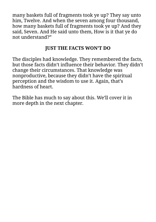many baskets full of fragments took ye up? They say unto him, Twelve. And when the seven among four thousand, how many baskets full of fragments took ye up? And they said, Seven. And He said unto them, How is it that ye do not understand?"

#### **JUST THE FACTS WON'T DO**

The disciples had knowledge. They remembered the facts, but those facts didn't influence their behavior. They didn't change their circumstances. That knowledge was nonproductive, because they didn't have the spiritual perception and the wisdom to use it. Again, that's hardness of heart.

The Bible has much to say about this. We'll cover it in more depth in the next chapter.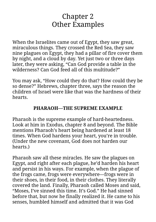## <span id="page-12-0"></span>Chapter 2 Other Examples

When the Israelites came out of Egypt, they saw great, miraculous things. They crossed the Red Sea, they saw nine plagues on Egypt, they had a pillar of fire cover them by night, and a cloud by day. Yet just two or three days later, they were asking, "Can God provide a table in the wilderness? Can God feed all of this multitude?"

You may ask, "How could they do that? How could they be so dense?" Hebrews, chapter three, says the reason the children of Israel were like that was the hardness of their hearts.

#### **PHARAOH—THE SUPREME EXAMPLE**

Pharaoh is the supreme example of hard-heartedness. Look at him in Exodus, chapter 8 and beyond. The Bible mentions Pharaoh's heart being hardened at least 18 times. When God hardens your heart, you're in trouble. (Under the new covenant, God does not harden our hearts.)

Pharaoh saw all these miracles. He saw the plagues on Egypt, and right after each plague, he'd harden his heart and persist in his ways. For example, when the plague of the frogs came, frogs were everywhere—frogs were in their shoes, in their food, in their clothes. They literally covered the land. Finally, Pharaoh called Moses and said, "Moses, I've sinned this time. It's God." He had sinned before that, but now he finally realized it. He came to his senses, humbled himself and admitted that it was God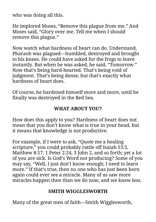who was doing all this.

He implored Moses, "Remove this plague from me." And Moses said, "Glory over me. Tell me when I should remove this plague."

Now watch what hardness of heart can do. Understand, Pharaoh was plagued—humbled, destroyed and brought to his knees. He could have asked for the frogs to leave instantly. But when he was asked, he said, "Tomorrow." Now that's being hard-hearted. That's being void of judgment. That's being dense, but that's exactly what hardness of heart does.

Of course, he hardened himself more and more, until he finally was destroyed in the Red Sea.

#### **WHAT ABOUT YOU?**

How does this apply to you? Hardness of heart does not mean that you don't know what is true in your head, but it means that knowledge is not productive.

For example, if I were to ask, "Quote me a healing scripture," you could probably rattle off Isaiah 53:5, Matthew 8:17, 1 Peter 2:24, 3 John 2, and so forth; yet a lot of you are sick. Is God's Word not producing? Some of you may say, "Well, I just don't know enough; I need to learn more." If that's true, then no one who has just been born again could ever see a miracle. Many of us saw more miracles happen then than we do now, and we knew less.

#### **SMITH WIGGLESWORTH**

Many of the great men of faith—Smith Wigglesworth,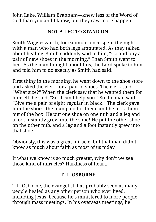John Lake, William Branham—knew less of the Word of God than you and I know, but they saw more happen.

#### **NOT A LEG TO STAND ON**

Smith Wigglesworth, for example, once spent the night with a man who had both legs amputated. As they talked about healing, Smith suddenly said to him, "Go and buy a pair of new shoes in the morning." Then Smith went to bed. As the man thought about this, the Lord spoke to him and told him to do exactly as Smith had said.

First thing in the morning, he went down to the shoe store and asked the clerk for a pair of shoes. The clerk said, "What size?" When the clerk saw that he wanted them for himself, he said, "Sir, I can't help you." So the man said, "Give me a pair of eight regular in black." The clerk gave him the shoes, the man paid for them, and he took them out of the box. He put one shoe on one nub and a leg and a foot instantly grew into the shoe! He put the other shoe on the other nub, and a leg and a foot instantly grew into that shoe.

Obviously, this was a great miracle, but that man didn't know as much about faith as most of us today.

If what we know is so much greater, why don't we see those kind of miracles? Hardness of heart.

#### **T. L. OSBORNE**

T.L. Osborne, the evangelist, has probably seen as many people healed as any other person who ever lived, including Jesus, because he's ministered to more people through mass meetings. In his overseas meetings, he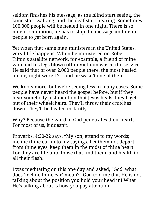seldom finishes his message, as the blind start seeing, the lame start walking, and the deaf start hearing. Sometimes 100,000 people will be healed in one night. There is so much commotion, he has to stop the message and invite people to get born again.

Yet when that same man ministers in the United States, very little happens. When he ministered on Robert Tilton's satellite network, for example, a friend of mine who had his legs blown off in Vietnam was at the service. He said that of over 2,000 people there, the most healed on any night were 12—and he wasn't one of them.

We know more, but we're seeing less in many cases. Some people have never heard the gospel before, but if they hear somebody just mention that Jesus heals, they'll get out of their wheelchairs. They'll throw their crutches down. They'll be healed instantly.

Why? Because the word of God penetrates their hearts. For most of us, it doesn't.

Proverbs, 4:20-22 says, "My son, attend to my words; incline thine ear unto my sayings. Let them not depart from thine eyes; keep them in the midst of thine heart. For they are life unto those that find them, and health to all their flesh."

I was meditating on this one day and asked, "God, what does 'incline thine ear' mean?" God told me that He is not talking about the position you hold your head in! What He's talking about is how you pay attention.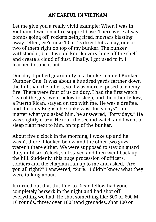#### **AN EARFUL IN VIETNAM**

Let me give you a really vivid example: When I was in Vietnam, I was on a fire support base. There were always bombs going off, rockets being fired, mortars blasting away. Often, we'd take 10 or 15 direct hits a day, one or two of them right on top of my bunker. The bunker withstood it, but it would knock everything off the shelf and create a cloud of dust. Finally, I got used to it. I learned to tune it out.

One day, I pulled guard duty in a bunker named Bunker Number One. It was about a hundred yards farther down the hill than the others, so it was more exposed to enemy fire. There were four of us on duty. I had the first watch. Two of the guys went below to sleep, and the other fellow, a Puerto Rican, stayed on top with me. He was a draftee, and the only English he spoke was "forty days"—no matter what you asked him, he answered, "forty days." He was slightly crazy. He took the second watch and I went to sleep right next to him, on top of the bunker.

About five o'clock in the morning, I woke up and he wasn't there. I looked below and the other two guys weren't there either. We were supposed to stay on guard duty until six o'clock, so I stayed and then went back up the hill. Suddenly, this huge procession of officers, soldiers and the chaplain ran up to me and asked, "Are you all right?" I answered, "Sure." I didn't know what they were talking about.

It turned out that this Puerto Rican fellow had gone completely berserk in the night and had shot off everything we had. He shot something like 500 or 600 M-16 rounds, threw over 100 hand grenades, shot 100 or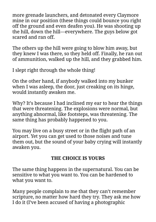more grenade launchers, and detonated every Claymore mine in our position (these things could bounce you right off the ground and even deafen you). He was shooting up the hill, down the hill—everywhere. The guys below got scared and ran off.

The others up the hill were going to blow him away, but they knew I was there, so they held off. Finally, he ran out of ammunition, walked up the hill, and they grabbed him.

I slept right through the whole thing!

On the other hand, if anybody walked into my bunker when I was asleep, the door, just creaking on its hinge, would instantly awaken me.

Why? It's because I had inclined my ear to hear the things that were threatening. The explosions were normal, but anything abnormal, like footsteps, was threatening. The same thing has probably happened to you.

You may live on a busy street or in the flight path of an airport. Yet you can get used to those noises and tune them out, but the sound of your baby crying will instantly awaken you.

#### **THE CHOICE IS YOURS**

The same thing happens in the supernatural. You can be sensitive to what you want to. You can be hardened to what you want to.

Many people complain to me that they can't remember scripture, no matter how hard they try. They ask me how I do it (I've been accused of having a photographic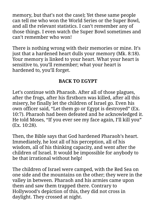memory, but that's not the case); Yet these same people can tell me who won the World Series or the Super Bowl, and all the relevant statistics. I can't remember any of those things. I even watch the Super Bowl sometimes and can't remember who won!

There is nothing wrong with their memories or mine. It's just that a hardened heart dulls your memory (Mk. 8:18). Your memory is linked to your heart. What your heart is sensitive to, you'll remember; what your heart is hardened to, you'll forget.

#### **BACK TO EGYPT**

Let's continue with Pharaoh. After all of those plagues, after the frogs, after his firstborn was killed, after all this misery, he finally let the children of Israel go. Even his own officer said, "Let them go or Egypt is destroyed" (Ex. 10:7). Pharaoh had been defeated and he acknowledged it. He told Moses, "If you ever see my face again, I'll kill you" (Ex. 10:28).

Then, the Bible says that God hardened Pharaoh's heart. Immediately, he lost all of his perception, all of his wisdom, all of his thinking capacity, and went after the children of Israel. It would be impossible for anybody to be that irrational without help!

The children of Israel were camped, with the Red Sea on one side and the mountains on the other; they were in the valley in between. Pharaoh and his armies came upon them and saw them trapped there. Contrary to Hollywood's depiction of this, they did not cross in daylight. They crossed at night.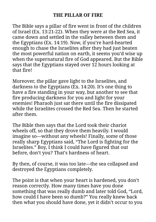#### **THE PILLAR OF FIRE**

The Bible says a pillar of fire went in front of the children of Israel (Ex. 13:21-22). When they were at the Red Sea, it came down and settled in the valley between them and the Egyptians (Ex. 14:19). Now, if you're hard-hearted enough to chase the Israelites after they had just beaten the most powerful nation on earth, it seems you'd wise up when the supernatural fire of God appeared. But the Bible says that the Egyptians stayed over 12 hours looking at that fire!

Moreover, the pillar gave light to the Israelites, and darkness to the Egyptians (Ex. 14:20). It's one thing to have a fire standing in your way, but another to see that fire producing darkness for you and light for your enemies! Pharaoh just sat there until the fire dissipated while the Israelites crossed the Red Sea. Then he started after them.

The Bible then says that the Lord took their chariot wheels off, so that they drove them heavily. I would imagine so—without any wheels! Finally, some of those really sharp Egyptians said, "The Lord is fighting for the Israelites." Boy, I think I could have figured that out before, don't you? That's hardness of heart.

By then, of course, it was too late—the sea collapsed and destroyed the Egyptians completely.

The point is that when your heart is hardened, you don't reason correctly. How many times have you done something that was really dumb and later told God, "Lord, how could I have been so dumb?" You really knew back then what you should have done, yet it didn't occur to you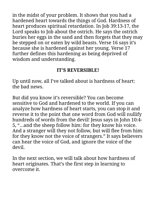in the midst of your problem. It shows that you had a hardened heart towards the things of God. Hardness of heart produces spiritual retardation. In Job 39:13-17, the Lord speaks to Job about the ostrich. He says the ostrich buries her eggs in the sand and then forgets that they may be stepped on or eaten by wild beasts. Verse 16 says it's because she is hardened against her young. Verse 17 further defines this hardening as being deprived of wisdom and understanding.

#### **IT'S REVERSIBLE!**

Up until now, all I've talked about is hardness of heart: the bad news.

But did you know it's reversible? You can become sensitive to God and hardened to the world. If you can analyze how hardness of heart starts, you can stop it and reverse it to the point that one word from God will nullify hundreds of words from the devil! Jesus says in John 10:4- 5, "...and the sheep follow him: for they know his voice. And a stranger will they not follow, but will flee from him: for they know not the voice of strangers." It says believers can hear the voice of God, and ignore the voice of the devil.

In the next section, we will talk about how hardness of heart originates. That's the first step in learning to overcome it.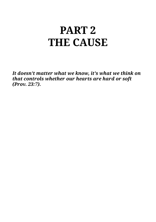# <span id="page-21-0"></span>**PART 2 THE CAUSE**

*It doesn't matter what we know, it's what we think on that controls whether our hearts are hard or soft (Prov. 23:7).*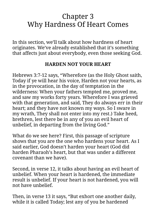## <span id="page-22-0"></span>Chapter 3 Why Hardness Of Heart Comes

In this section, we'll talk about how hardness of heart originates. We've already established that it's something that affects just about everybody, even those seeking God.

#### **HARDEN NOT YOUR HEART**

Hebrews 3:7-12 says, "Wherefore (as the Holy Ghost saith, Today if ye will hear his voice, Harden not your hearts, as in the provocation, in the day of temptation in the wilderness: When your fathers tempted me, proved me, and saw my works forty years. Wherefore I was grieved with that generation, and said, They do always err in their heart; and they have not known my ways. So I sware in my wrath, They shall not enter into my rest.) Take heed, brethren, lest there be in any of you an evil heart of unbelief, in departing from the living God."

What do we see here? First, this passage of scripture shows that you are the one who hardens your heart. As I said earlier, God doesn't harden your heart (God did harden Pharaoh's heart, but that was under a different covenant than we have).

Second, in verse 12, it talks about having an evil heart of unbelief. When your heart is hardened, the immediate result is unbelief. If your heart is not hardened, you will not have unbelief.

Then, in verse 13 it says, "But exhort one another daily, while it is called Today; lest any of you be hardened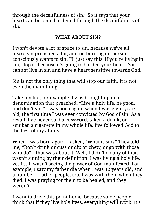through the deceitfulness of sin." So it says that your heart can become hardened through the deceitfulness of sin.

#### **WHAT ABOUT SIN?**

I won't devote a lot of space to sin, because we've all heard sin preached a lot, and no born-again person consciously wants to sin. I'll just say this: if you're living in sin, stop it, because it's going to harden your heart. You cannot live in sin and have a heart sensitive towards God.

Sin is not the only thing that will stop our faith. It is not even the main thing.

Take my life, for example. I was brought up in a denomination that preached, "Live a holy life, be good, and don't sin." I was born again when I was eight years old, the first time I was ever convicted by God of sin. As a result, I've never said a cussword, taken a drink, or smoked a cigarette in my whole life. I've followed God to the best of my ability.

When I was born again, I asked, "What is sin?" They told me, "Don't drink or cuss or dip or chew, or go with those who do"—that was about it. Well, I didn't do any of that. I wasn't sinning by their definition. I was living a holy life, yet I still wasn't seeing the power of God manifested. For example, I saw my father die when I was 12 years old, and a number of other people, too. I was with them when they died. I was praying for them to be healed, and they weren't.

I want to drive this point home, because some people think that if they live holy lives, everything will work. It's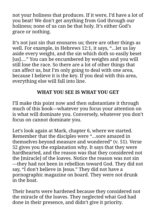not your holiness that produces. If it were, I'd have a lot of you beat! We don't get anything from God through our holiness; none of us can be that holy. It's either God's grace or nothing.

It's not just sin that ensnares us; there are other things as well. For example, in Hebrews 12:1, it says, "...let us lay aside every weight, and the sin which doth so easily beset [us]...." You can be encumbered by weights and you will still lose the race. So there are a lot of other things that can affect us, but I'm only going to deal with one area, because I believe it is the key. If you deal with this area, everything else will fall into line.

#### **WHAT YOU SEE IS WHAT YOU GET**

I'll make this point now and then substantiate it through much of this book—whatever you focus your attention on is what will dominate you. Conversely, whatever you don't focus on cannot dominate you.

Let's look again at Mark, chapter 6, where we started. Remember that the disciples were "...sore amazed in themselves beyond measure and wondered" (v. 51). Verse 52 gives you the explanation why. It says that they were hardhearted, and the reason was that they considered not the [miracle] of the loaves. Notice the reason was not sin —they had not been in rebellion toward God. They did not say, "I don't believe in Jesus." They did not have a pornographic magazine on board. They were not drunk in the boat.

Their hearts were hardened because they considered not the miracle of the loaves. They neglected what God had done in their presence, and didn't give it priority.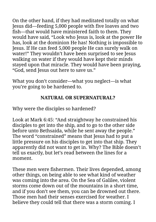On the other hand, if they had meditated totally on what Jesus did—feeding 5,000 people with five loaves and two fish—that would have ministered faith to them. They would have said, "Look who Jesus is, look at the power He has, look at the dominion He has! Nothing is impossible to Jesus. If He can feed 5,000 people He can surely walk on water!" They wouldn't have been surprised to see Jesus walking on water if they would have kept their minds stayed upon that miracle. They would have been praying, "God, send Jesus out here to save us."

What you don't consider—what you neglect—is what you're going to be hardened to.

#### **NATURAL OR SUPERNATURAL?**

Why were the disciples so hardened?

Look at Mark 6:45: "And straightway he constrained his disciples to get into the ship, and to go to the other side before unto Bethsaida, while he sent away the people." The word "constrained" means that Jesus had to put a little pressure on his disciples to get into that ship. They apparently did not want to get in. Why? The Bible doesn't tell us exactly, but let's read between the lines for a moment.

These men were fishermen. Their lives depended, among other things, on being able to see what kind of weather was coming into the area. On the Sea of Galilee, violent storms come down out of the mountains in a short time, and if you don't see them, you can be drowned out there. Those men had their senses exercised for weather. I believe they could tell that there was a storm coming. I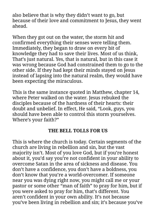also believe that is why they didn't want to go, but because of their love and commitment to Jesus, they went ahead.

When they got out on the water, the storm hit and confirmed everything their senses were telling them. Immediately, they began to draw on every bit of knowledge they had to save their lives. Most of us think, That's just natural. Yes, that is natural, but in this case it was wrong because God had constrained them to go to the other side. If they had kept their minds stayed on Jesus instead of lapsing into the natural realm, they would have been expecting the miraculous.

This is the same instance quoted in Matthew, chapter 14, where Peter walked on the water. Jesus rebuked the disciples because of the hardness of their hearts: their doubt and unbelief. In effect, He said, "Look, guys, you should have been able to control this storm yourselves. Where's your faith?"

#### **THE BELL TOLLS FOR US**

This is where the church is today. Certain segments of the church are living in rebellion and sin, but the vast majority isn't. Most of you love God, but if you're honest about it, you'd say you're not confident in your ability to overcome Satan in the area of sickness and disease. You don't have a confidence, you don't have a boldness, you don't know that you're a world-overcomer. If someone near you was dying right now, you might call me or your pastor or some other "man of faith" to pray for him, but if you were asked to pray for him, that's different. You aren't confident in your own ability. It's not because you've been living in rebellion and sin; it's because you've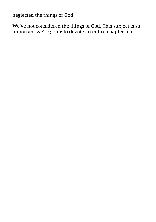neglected the things of God.

We've not considered the things of God. This subject is so important we're going to devote an entire chapter to it.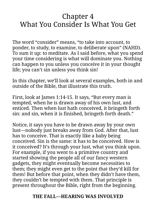### <span id="page-28-0"></span>Chapter 4 What You Consider Is What You Get

The word "consider" means, "to take into account, to ponder, to study, to examine, to deliberate upon" (NAHD). To sum it up: to meditate. As I said before, what you spend your time considering is what will dominate you. Nothing can happen to you unless you conceive it in your thought life; you can't sin unless you think sin!

In this chapter, we'll look at several examples, both in and outside of the Bible, that illustrate this truth.

First, look at James 1:14-15. It says, "But every man is tempted, when he is drawn away of his own lust, and enticed. Then when lust hath conceived, it bringeth forth sin: and sin, when it is finished, bringeth forth death."

Notice, it says you have to be drawn away by your own lust—nobody just breaks away from God. After that, lust has to conceive. That is exactly like a baby being conceived. Sin is the same: it has to be conceived. How is it conceived? It's through your lust, what you think upon. For example, if you went to a primitive country and started showing the people all of our fancy western gadgets, they might eventually become necessities to them; they might even get to the point that they'd kill for them! But before that point, when they didn't have them, they couldn't be tempted with them. That principle is present throughout the Bible, right from the beginning.

#### **THE FALL—HEARING WAS INVOLVED**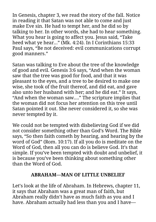In Genesis, chapter 3, we read the story of the fall. Notice in reading it that Satan was not able to come and just make Eve sin. He had to tempt her, and he did so by talking to her. In other words, she had to hear something. What you hear is going to affect you. Jesus said, "Take heed what ye hear..." (Mk. 4:24). In I Corinthians 15:33 Paul says, "Be not deceived: evil communications corrupt good manners."

Satan was talking to Eve about the tree of the knowledge of good and evil. Genesis 3:6 says, "And when the woman saw that the tree was good for food, and that it was pleasant to the eyes, and a tree to be desired to make one wise, she took of the fruit thereof, and did eat, and gave also unto her husband with her; and he did eat." It says, "And when the woman saw...." The scripture implies that the woman did not focus her attention on this tree until Satan pointed it out. She never considered it, so she was never tempted by it.

We could not be tempted with disbelieving God if we did not consider something other than God's Word. The Bible says, "So then faith cometh by hearing, and hearing by the word of God" (Rom. 10:17). If all you do is meditate on the Word of God, then all you can do is believe God. It's that simple. If you've been tempted with doubt and unbelief, it is because you've been thinking about something other than the Word of God.

#### **ABRAHAM—MAN OF LITTLE UNBELIEF**

Let's look at the life of Abraham. In Hebrews, chapter 11, it says that Abraham was a great man of faith, but Abraham really didn't have as much faith as you and I have. Abraham actually had less than you and I have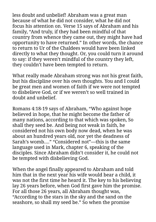less doubt and unbelief! Abraham was a great man because of what he did not consider, what he did not focus his attention on. Verse 15 says of Abraham and his family, "And truly, if they had been mindful of that country from whence they came out, they might have had opportunity to have returned." In other words, the chance to return to Ur of the Chaldees would have been linked directly to what they thought. Or, you could turn it around to say: if they weren't mindful of the country they left, they couldn't have been tempted to return.

What really made Abraham strong was not his great faith, but his discipline over his own thoughts. You and I could be great men and women of faith if we were not tempted to disbelieve God, or if we weren't so well trained in doubt and unbelief.

Romans 4:18-19 says of Abraham, "Who against hope believed in hope, that he might become the father of many nations, according to that which was spoken, So shall they seed be. And being not weak in faith, he considered not his own body now dead, when he was about an hundred years old, nor yet the deadness of Sarah's womb...." "Considered not"—this is the same language used in Mark, chapter 6, speaking of the disciples. Since Abraham didn't consider it, he could not be tempted with disbelieving God.

When the angel finally appeared to Abraham and told him that in the next year his wife would bear a child, it was not the first time he heard it. The key to his believing lay 26 years before, when God first gave him the promise. For all those 26 years, all Abraham thought was, "According to the stars in the sky and the sand on the seashore, so shall my seed be." So when the promise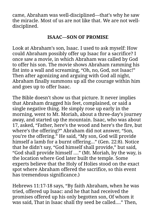came, Abraham was well-disciplined—that's why he saw the miracle. Most of us are not like that. We are not welldisciplined.

#### **ISAAC—SON OF PROMISE**

Look at Abraham's son, Isaac. I used to ask myself: How could Abraham possibly offer up Isaac for a sacrifice? I once saw a movie, in which Abraham was called by God to offer his son. The movie shows Abraham ramming his fist into a wall and screaming, "Oh, no, God, not Isaac!" Then after agonizing and arguing with God all night, Abraham finally summons up all the courage within him and goes up to offer Isaac.

The Bible doesn't show us that picture. It never implies that Abraham dragged his feet, complained, or said a single negative thing. He simply rose up early in the morning, went to Mt. Moriah, about a three-day's journey away, and started up the mountain. Isaac, who was about 17, asked, "Father, here's the wood and here's the fire, but where's the offering?" Abraham did not answer, "Son, you're the offering." He said, "My son, God will provide himself a lamb for a burnt offering..." (Gen. 22:8). Notice that he didn't say, "God himself shall provide," but said, "God shall provide himself ...." (Mt. Moriah, by the way, is the location where God later built the temple. Some experts believe that the Holy of Holies stood on the exact spot where Abraham offered the sacrifice, so this event has tremendous significance.)

Hebrews 11:17-18 says, "By faith Abraham, when he was tried, offered up Isaac: and he that had received the promises offered up his only begotten son, Of whom it was said, That in Isaac shall thy seed be called...." Then,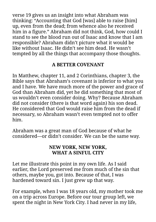verse 19 gives us an insight into what Abraham was thinking: "Accounting that God [was] able to raise [him] up, even from the dead; from whence also he received him in a figure." Abraham did not think, God, how could I stand to see the blood run out of Isaac and know that I am responsible? Abraham didn't picture what it would be like without Isaac. He didn't see him dead. He wasn't tempted by all the things that accompany those thoughts.

#### **A BETTER COVENANT**

In Matthew, chapter 11, and 2 Corinthians, chapter 3, the Bible says that Abraham's covenant is inferior to what you and I have. We have much more of the power and grace of God than Abraham did, yet he did something that most of us wouldn't even consider doing. Why? Because Abraham did not consider (there is that word again) his son dead. He considered that God would raise him from the dead if necessary, so Abraham wasn't even tempted not to offer him.

Abraham was a great man of God because of what he considered—or didn't consider. We can be the same way.

#### **NEW YORK, NEW YORK, WHAT A SINFUL CITY**

Let me illustrate this point in my own life. As I said earlier, the Lord preserved me from much of the sin that others, maybe you, got into. Because of that, I was hardened toward sin. I just grew up that way.

For example, when I was 18 years old, my mother took me on a trip across Europe. Before our tour group left, we spent the night in New York City. I had never in my life,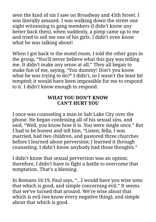seen the kind of sin I saw on Broadway and 45th Street. I was literally amazed. I was walking down the street one night witnessing to gang members (I didn't know any better back then), when suddenly, a pimp came up to me and tried to sell me one of his girls. I didn't even know what he was talking about!

When I got back to the motel room, I told the other guys in the group, "You'll never believe what this guy was telling me. It didn't make any sense at all." They all began to make fun of me, saying, "You dummy! Don't you know what he was trying to do?" I didn't, so I wasn't the least bit tempted; it would have been impossible for me to respond to it. I didn't know enough to respond.

#### **WHAT YOU DON'T KNOW CAN'T HURT YOU**

I once was counseling a man in Salt Lake City over the phone. He began confessing all of his sexual sins, and said, "Well, you know how it is. You were single once." But I had to be honest and tell him, "Listen, fella, I was married, had two children, and pastored three churches before I learned about perversion; I learned it through counseling. I didn't know anybody had those thoughts."

I didn't know that sexual perversion was an option; therefore, I didn't have to fight a battle to overcome that temptation. That's a blessing.

In Romans 16:19, Paul says, "...I would have you wise unto that which is good, and simple concerning evil." It seems that we've turned that around. We're wise about that which is evil (we know every negative thing), and simple about that which is good.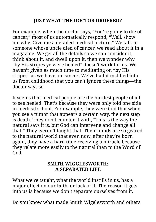#### **JUST WHAT THE DOCTOR ORDERED?**

For example, when the doctor says, "You're going to die of cancer," most of us automatically respond, "Well, show me why. Give me a detailed medical picture." We talk to someone whose uncle died of cancer, we read about it in a magazine. We get all the details so we can consider it, think about it, and dwell upon it, then we wonder why "by His stripes ye were healed" doesn't work for us. We haven't given as much time to meditating on "by His stripes" as we have on cancer. We've had it instilled into us from childhood that you can't ignore these things—the doctor says so.

It seems that medical people are the hardest people of all to see healed. That's because they were only told one side in medical school. For example, they were told that when you see a tumor that appears a certain way, the next step is death. They don't counter it with, "This is the way the natural says it is, but God can intervene and change all that." They weren't taught that. Their minds are so geared to the natural world that even now, after they're born again, they have a hard time receiving a miracle because they relate more easily to the natural than to the Word of God.

#### **SMITH WIGGLESWORTH: A SEPARATED LIFE**

What we're taught, what the world instills in us, has a major effect on our faith, or lack of it. The reason it gets into us is because we don't separate ourselves from it.

Do you know what made Smith Wigglesworth and others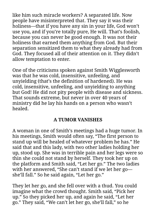like him such miracle workers? A separated life. Now people have misinterpreted that. They say it was their holiness—that if you have any sin in your life, God won't use you, and if you're totally pure, He will. That's foolish, because you can never be good enough. It was not their holiness that earned them anything from God. But their separation sensitized them to what they already had from God. They focused all of their attention on it. They didn't allow temptation to enter.

One of the criticisms spoken against Smith Wigglesworth was that he was cold, insensitive, unfeeling, and unyielding (that's the definition of hardened). He was cold, insensitive, unfeeling, and unyielding to anything but God! He did not pity people with disease and sickness. That sounds extreme, but never in over 40 years of ministry did he lay his hands on a person who wasn't healed.

#### **A TUMOR VANISHES**

A woman in one of Smith's meetings had a huge tumor. In his meetings, Smith would often say, "The first person to stand up will be healed of whatever problem he has." He said that and this lady, with two other ladies holding her up, stood up. She was in terrible pain and her legs were so thin she could not stand by herself. They took her up on the platform and Smith said, "Let her go." The two ladies with her answered, "She can't stand if we let her go she'll fall." So he said again, "Let her go."

They let her go, and she fell over with a thud. You could imagine what the crowd thought. Smith said, "Pick her up." So they picked her up, and again he said, "Let her go." They said, "We can't let her go, she'll fall," so he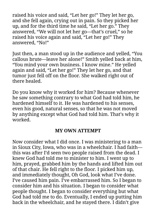raised his voice and said, "Let her go!" They let her go, and she fell again, crying out in pain. So they picked her up, and for the third time he said, "Let her go." They answered, "We will not let her go—that's cruel," so he raised his voice again and said, "Let her go!" They answered, "No!"

Just then, a man stood up in the audience and yelled, "You callous brute—leave her alone!" Smith yelled back at him, "You mind your own business. I know mine." He yelled again and said, "Let her go!" They let her go, and that tumor just fell off on the floor. She walked right out of there healed.

Do you know why it worked for him? Because whenever he saw something contrary to what God had told him, he hardened himself to it. He was hardened to his senses, even his good, natural senses, so that he was not moved by anything except what God had told him. That's why it worked.

#### **MY OWN ATTEMPT**

Now consider what I did once. I was ministering to a man in Sioux City, Iowa, who was in a wheelchair. I had faith this was after I'd seen two people raised from the dead. I knew God had told me to minister to him. I went up to him, prayed, grabbed him by the hands and lifted him out of that chair. He fell right to the floor. I picked him up, and immediately thought, Oh God, look what I've done. I've caused him pain. I've embarrassed him. So I began to consider him and his situation. I began to consider what people thought. I began to consider everything but what God had told me to do. Eventually, I ended up putting him back in the wheelchair, and he stayed there. I didn't give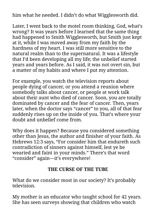him what he needed. I didn't do what Wigglesworth did.

Later, I went back to the motel room thinking, God, what's wrong? It was years before I learned that the same thing had happened to Smith Wigglesworth, but Smith just kept at it, while I was moved away from my faith by the hardness of my heart. I was still more sensitive to the natural realm than to the supernatural. It was a lifestyle that I'd been developing all my life; the unbelief started years and years before. As I said, it was not overt sin, but a matter of my habits and where I put my attention.

For example, you watch the television reports about people dying of cancer, or you attend a reunion where somebody talks about cancer, or people at work talk about their aunt who died of cancer. Soon, you are totally dominated by cancer and the fear of cancer. Then, years later, when the doctor says "cancer" to you, all of that fear suddenly rises up on the inside of you. That's where your doubt and unbelief come from.

Why does it happen? Because you considered something other than Jesus, the author and finisher of your faith. As Hebrews 12:3 says, "For consider him that endureth such contradiction of sinners against himself, lest ye be wearied and faint in your minds." There's that word "consider" again—it's everywhere!

#### **THE CURSE OF THE TUBE**

What do we consider most in our society? It's probably television.

My mother is an educator who taught school for 42 years. She has seen surveys showing that children who watch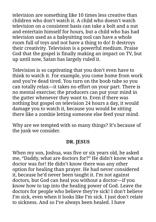television are something like 10 times less creative than children who don't watch it. A child who doesn't watch television on a consistent basis can take a bolt and a nut and entertain himself for hours, but a child who has had television used as a babysitting tool can have a whole room full of toys and not have a thing to do! It destroys their creativity. Television is a powerful medium. Praise God that the gospel is finally making an impact on TV, but up until now, Satan has largely ruled it.

Television is so captivating that you don't even have to think to watch it. For example, you come home from work and you're dead tired. You turn on the boob tube so you can totally relax—it takes no effort on your part. There is no mental exercise; the producers can put your mind in the gutter whenever they want to. Even if there was nothing but gospel on television 24 hours a day, it would damage you to watch it, because you would be sitting there like a zombie letting someone else feed your mind.

Why are we tempted with so many things? It's because of the junk we consider.

#### **DR. JESUS**

When my son, Joshua, was five or six years old, he asked me, "Daddy, what are doctors for?" He didn't know what a doctor was for! He didn't know there was any other option for healing than prayer. He had never considered it, because he'd never been taught it. I'm not against doctors, but God can heal you without a doctor—if you know how to tap into the healing power of God. Leave the doctors for people who believe they're sick! I don't believe I'm sick, even when it looks like I'm sick. I just don't relate to sickness. And so I've always been healed. I have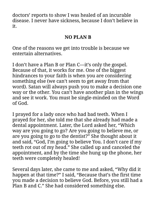doctors' reports to show I was healed of an incurable disease. I never have sickness, because I don't believe in it.

# **NO PLAN B**

One of the reasons we get into trouble is because we entertain alternatives.

I don't have a Plan B or Plan C—it's only the gospel. Because of that, it works for me. One of the biggest hindrances to your faith is when you are considering something else (we can't seem to get away from that word). Satan will always push you to make a decision one way or the other. You can't have another plan in the wings and see it work. You must be single-minded on the Word of God.

I prayed for a lady once who had bad teeth. When I prayed for her, she told me that she already had made a dental appointment. Later, the Lord asked her, "Which way are you going to go? Are you going to believe me, or are you going to go to the dentist?" She thought about it and said, "God, I'm going to believe You. I don't care if my teeth rot out of my head." She called up and canceled the appointment, and by the time she hung up the phone, her teeth were completely healed!

Several days later, she came to me and asked, "Why did it happen at that time?" I said, "Because that's the first time you made a decision to believe God. Before, you still had a Plan B and C." She had considered something else.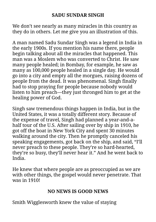# **SADU SUNDAR SINGH**

We don't see nearly as many miracles in this country as they do in others. Let me give you an illustration of this.

A man named Sadu Sundar Singh was a legend in India in the early 1900s. If you mention his name there, people begin talking about all the miracles that happened. This man was a Moslem who was converted to Christ. He saw many people healed; in Bombay, for example, he saw as many as 100,000 people healed in a single day. He would go into a city and empty all the morgues, raising dozens of people from the dead. It was phenomenal. Singh finally had to stop praying for people because nobody would listen to him preach—they just thronged him to get at the healing power of God.

Singh saw tremendous things happen in India, but in the United States, it was a totally different story. Because of the expense of travel, Singh had planned a year-and-ahalf tour of the U.S. After sailing over by ship in 1910, he got off the boat in New York City and spent 30 minutes walking around the city. Then he promptly canceled his speaking engagements, got back on the ship, and said, "I'll never preach to these people. They're so hard-hearted, they're so busy, they'll never hear it." And he went back to India.

He knew that where people are as preoccupied as we are with other things, the gospel would never penetrate. That was in 1910!

# **NO NEWS IS GOOD NEWS**

Smith Wigglesworth knew the value of staying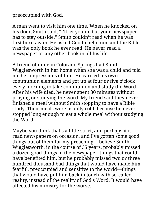preoccupied with God.

A man went to visit him one time. When he knocked on his door, Smith said, "I'll let you in, but your newspaper has to stay outside." Smith couldn't read when he was first born again. He asked God to help him, and the Bible was the only book he ever read. He never read a newspaper or any other book in all his life.

A friend of mine in Colorado Springs had Smith Wigglesworth in her home when she was a child and told me her impressions of him. He carried his own communion elements and got up at four or five o'clock every morning to take communion and study the Word. After his wife died, he never spent 30 minutes without praying or studying the word. My friend said they never finished a meal without Smith stopping to have a Bible study. Their meals were usually cold, because he never stopped long enough to eat a whole meal without studying the Word.

Maybe you think that's a little strict, and perhaps it is. I read newspapers on occasion, and I've gotten some good things out of them for my preaching. I believe Smith Wigglesworth, in the course of 35 years, probably missed a dozen good things in the newspaper, things that could have benefited him, but he probably missed two or three hundred thousand bad things that would have made him fearful, preoccupied and sensitive to the world—things that would have put him back in touch with so-called reality, instead of the reality of God's Word. It would have affected his ministry for the worse.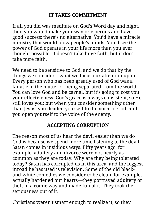# **IT TAKES COMMITMENT**

If all you did was meditate on God's Word day and night, then you would make your way prosperous and have good success; there's no alternative. You'd have a miracle ministry that would blow people's minds. You'd see the power of God operate in your life more than you ever thought possible. It doesn't take huge faith, but it does take pure faith.

We need to be sensitive to God, and we do that by the things we consider—what we focus our attention upon. Every person who has been greatly used of God was a fanatic in the matter of being separated from the world. You can love God and be carnal, but it's going to cost you your effectiveness. God's grace is always consistent, so He still loves you; but when you consider something other than Jesus, you deaden yourself to the voice of God, and you open yourself to the voice of the enemy.

# **ACCEPTING CORRUPTION**

The reason most of us hear the devil easier than we do God is because we spend more time listening to the devil. Satan comes in insidious ways. Fifty years ago, for example, adultery and divorce were not nearly as common as they are today. Why are they being tolerated today? Satan has corrupted us in this area, and the biggest inroad he has used is television. Some of the old blackand-white comedies we consider to be clean, for example, actually hardened our hearts—they portrayed adultery or theft in a comic way and made fun of it. They took the seriousness out of it.

Christians weren't smart enough to realize it, so they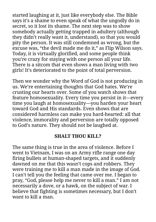started laughing at it, just like everybody else. The Bible says it's a shame to even speak of what the ungodly do in secret, so it lost its shame. The next step was to show somebody actually getting trapped in adultery (although they didn't really want it, understand), so that you would pity the person. It was still condemned as wrong, but the excuse was, "the devil made me do it," as Flip Wilson says. Today, it is virtually glorified, and some people think you're crazy for staying with one person all your life. There is a sitcom that even shows a man living with two girls! It's deteriorated to the point of total perversion.

Then we wonder why the Word of God is not producing in us. We're entertaining thoughts that God hates. We're crusting our hearts over. Some of you watch shows that feature homosexuality. Every time you persist in it—every time you laugh at homosexuality—you harden your heart toward God and His standards. Even shows that are considered harmless can make you hard-hearted: all that violence, immorality and perversion are totally opposed to God's nature. They should not be laughed at.

#### **SHALT THOU KILL?**

The same thing is true in the area of violence. Before I went to Vietnam, I was on an Army rifle range one day firing bullets at human-shaped targets, and it suddenly dawned on me that this wasn't cops and robbers. They were training me to kill a man made in the image of God. I can't tell you the feeling that came over me. I began to pray, "God, please help me never to kill a man." I am not necessarily a dove, or a hawk, on the subject of war. I believe that fighting is sometimes necessary, but I don't want to kill a man.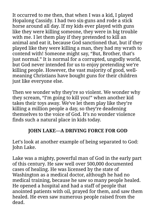It occurred to me then, that when I was a kid, I played Hopalong Cassidy. I had two six-guns and rode a stick horse around all day. If my kids ever played with guns like they were killing someone, they were in big trouble with me. I let them play if they pretended to kill an animal and eat it, because God sanctioned that, but if they played like they were killing a man, they had my wrath to contend with! Someone might say, "But, Brother, that's just normal." It is normal for a corrupted, ungodly world, but God never intended for us to enjoy pretending we're killing people. However, the vast majority of good, wellmeaning Christians have bought guns for their children just like everyone else.

Then we wonder why they're so violent. We wonder why they scream, "I'm going to kill you!" when another kid takes their toys away. We've let them play like they're killing a million people a day, so they're deadening themselves to the voice of God. It's no wonder violence finds such a natural place in kids today.

# **JOHN LAKE—A DRIVING FORCE FOR GOD**

Let's look at another example of being separated to God: John Lake.

Lake was a mighty, powerful man of God in the early part of this century. He saw well over 500,000 documented cases of healing. He was licensed by the state of Washington as a medical doctor, although he had no medical training, because he saw so many people healed. He opened a hospital and had a staff of people that anointed patients with oil, prayed for them, and saw them healed. He even saw numerous people raised from the dead.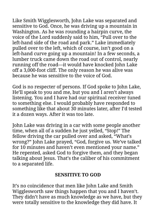Like Smith Wigglesworth, John Lake was separated and sensitive to God. Once, he was driving up a mountain in Washington. As he was rounding a hairpin curve, the voice of the Lord suddenly said to him, "Pull over to the left-hand side of the road and park." Lake immediately pulled over to the left, which of course, isn't good on a left-hand curve going up a mountain! In a few seconds, a lumber truck came down the road out of control, nearly running off the road—it would have knocked John Lake off a 3,000-foot cliff. The only reason he was alive was because he was sensitive to the voice of God.

God is no respecter of persons. If God spoke to John Lake, He'll speak to you and me, but you and I aren't always listening. You and I have had our spiritual receiver tuned to something else. I would probably have responded to something like that about 30 minutes later, after I'd tested it a dozen ways. After it was too late.

John Lake was driving in a car with some people another time, when all of a sudden he just yelled, "Stop!" The fellow driving the car pulled over and asked, "What's wrong?" John Lake prayed, "God, forgive us. We've talked for 10 minutes and haven't even mentioned your name." He repented, asked God to forgive them, and they began talking about Jesus. That's the caliber of his commitment to a separated life.

#### **SENSITIVE TO GOD**

It's no coincidence that men like John Lake and Smith Wigglesworth saw things happen that you and I haven't. They didn't have as much knowledge as we have, but they were totally sensitive to the knowledge they did have. It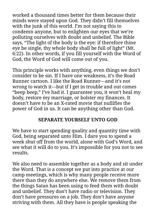worked a thousand times better for them because their minds were stayed upon God. They didn't fill themselves with the junk of this world. I'm not saying this to condemn anyone, but to enlighten our eyes that we're polluting ourselves with doubt and unbelief. The Bible says, "The light of the body is the eye: if therefore thine eye be single, thy whole body shall be full of light" (Mt. 6:22). In other words, if you fill yourself with the Word of God, the Word of God will come out of you.

This principle works with anything, even things we don't consider to be sin. If I have one weakness, it's the Road Runner cartoon. I like the Road Runner—and it's not wrong to watch it—but if I get in trouble and out comes "beep beep," I've had it. I guarantee you, it won't heal my body, restore my marriage, or bolster my finances. It doesn't have to be an X-rated movie that nullifies the power of God in us. It can be anything other than God.

#### **SEPARATE YOURSELF UNTO GOD**

We have to start spending quality and quantity time with God, being separated unto Him. I dare you to spend a week shut off from the world, alone with God's Word, and see what it will do to you. It's impossible for you not to see results.

We also need to assemble together as a body and sit under the Word. That is a concept we put into practice at our camp meetings, which is why many people receive more there than they do anywhere else. We remove them from the things Satan has been using to feed them with doubt and unbelief. They don't have radio or television. They don't have pressures on a job. They don't have anyone striving with them. All they have is people speaking the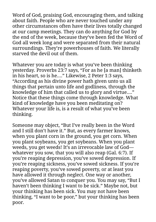Word of God, praising God, encouraging them, and talking about faith. People who are never touched under any other circumstances often have their lives totally changed at our camp meetings. They can do anything for God by the end of the week, because they've been fed the Word of God all week long and were separated from their natural surroundings. They're powerhouses of faith. We literally starved the devil out of them.

Whatever you are today is what you've been thinking yesterday. Proverbs 23:7 says, "For as he [a man] thinketh in his heart, so is he...." Likewise, 2 Peter 1:3 says, "According as his divine power hath given unto us all things that pertain unto life and godliness, through the knowledge of him that called us to glory and virtue...." Notice that these things come through knowledge. What kind of knowledge have you been meditating on? Whatever your life is, is a result of what you've been thinking.

Someone may object, "But I've really been in the Word and I still don't have it." But, as every farmer knows, when you plant corn in the ground, you get corn. When you plant soybeans, you get soybeans. When you plant weeds, you get weeds! It's an irrevocable law of God whatever you sow, that you will also reap (Gal. 6:7). If you're reaping depression, you've sowed depression. If you're reaping sickness, you've sowed sickness. If you're reaping poverty, you've sowed poverty, or at least you have allowed it through neglect. One way or another, you've allowed Satan to conquer you. You may say, "But I haven't been thinking I want to be sick." Maybe not, but your thinking has been sick. You may not have been thinking, "I want to be poor," but your thinking has been poor.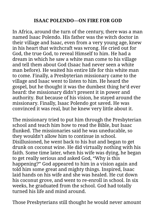# **ISAAC POLENDO—ON FIRE FOR GOD**

In Africa, around the turn of the century, there was a man named Isaac Polendo. His father was the witch doctor in their village and Isaac, even from a very young age, knew in his heart that witchcraft was wrong. He cried out for God, the true God, to reveal Himself to him. He had a dream in which he saw a white man come to his village and tell them about God (Isaac had never seen a white man before). He waited his entire life for this white man to come. Finally, a Presbyterian missionary came to the village and Isaac went to listen to him. He heard the gospel, but he thought it was the dumbest thing he'd ever heard: the missionary didn't present it in power and authority. But because of his vision, he stayed around the missionary. Finally, Isaac Polendo got saved. He was convinced it was real, but he knew very little about it.

The missionary tried to put him through the Presbyterian school and teach him how to read the Bible, but Isaac flunked. The missionaries said he was uneducable, so they wouldn't allow him to continue in school. Disillusioned, he went back to his hut and began to get drunk on coconut wine. He did virtually nothing with his faith. Some time later, when his wife was dying, he began to get really serious and asked God, "Why is this happening?" God appeared to him in a vision again and told him some great and mighty things. Inspired, Isaac laid hands on his wife and she was healed. He cut down his coconut grove, and went to re-enroll in school. In six weeks, he graduated from the school. God had totally turned his life and mind around.

Those Presbyterians still thought he would never amount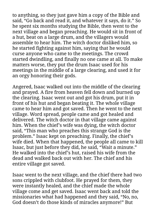to anything, so they just gave him a copy of the Bible and said, "Go back and read it, and whatever it says, do it." So he spent six months studying the Bible, then went to the next village and began preaching. He would sit in front of a hut, beat on a large drum, and the villagers would assemble to hear him. The witch doctor disliked him, so he started fighting against him, saying that he would curse anyone who came to the meetings. The crowd started dwindling, and finally no one came at all. To make matters worse, they put the drum Isaac used for his meetings in the middle of a large clearing, and used it for an orgy honoring their gods.

Angered, Isaac walked out into the middle of the clearing and prayed. A fire from heaven fell down and burned up the clearing. Isaac went out and got his drum, put it in front of his hut and began beating it. The whole village came to hear him and got saved. Then he went to the next village. Word spread, people came and got healed and delivered. The witch doctor in that village came against him. When the chief's wife was dying, the witch doctor said, "This man who preaches this strange God is the problem." Isaac kept on preaching. Finally, the chief's wife died. When that happened, the people all came to kill Isaac, but just before they did, he said, "Wait a minute." He walked into the chief's hut, raised his wife from the dead and walked back out with her. The chief and his entire village got saved.

Isaac went to the next village, and the chief there had two sons crippled with clubfoot. He prayed for them, they were instantly healed, and the chief made the whole village come and get saved. Isaac went back and told the missionaries what had happened and they said, "No, no, God doesn't do those kinds of miracles anymore!" But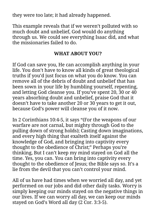they were too late; it had already happened.

This example reveals that if we weren't polluted with so much doubt and unbelief, God would do anything through us. We could see everything Isaac did, and what the missionaries failed to do.

#### **WHAT ABOUT YOU?**

If God can save you, He can accomplish anything in your life. You don't have to know all kinds of great theological truths if you'd just focus on what you do know. You can remove all of the debris of doubt and unbelief that has been sown in your life by humbling yourself, repenting, and letting God cleanse you. If you've spent 20, 30 or 40 years absorbing doubt and unbelief, praise God that it doesn't have to take another 20 or 30 years to get it out, because God's power will cleanse you of it now.

In 2 Corinthians 10:4-5, it says "(For the weapons of our warfare are not carnal, but mighty through God to the pulling down of strong holds); Casting down imaginations, and every high thing that exalteth itself against the knowledge of God, and bringing into captivity every thought to the obedience of Christ;" Perhaps you're thinking, But I can't keep my mind stayed on God all the time. Yes, you can. You can bring into captivity every thought to the obedience of Jesus; the Bible says so. It's a lie from the devil that you can't control your mind.

All of us have had times when we worried all day, and yet performed on our jobs and did other daily tasks. Worry is simply keeping our minds stayed on the negative things in our lives. If we can worry all day, we can keep our minds stayed on God's Word all day (2 Cor. 3:3-5).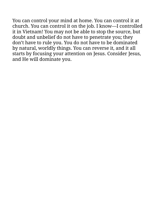You can control your mind at home. You can control it at church. You can control it on the job. I know—I controlled it in Vietnam! You may not be able to stop the source, but doubt and unbelief do not have to penetrate you; they don't have to rule you. You do not have to be dominated by natural, worldly things. You can reverse it, and it all starts by focusing your attention on Jesus. Consider Jesus, and He will dominate you.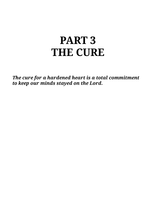# **PART 3 THE CURE**

*The cure for a hardened heart is a total commitment to keep our minds stayed on the Lord.*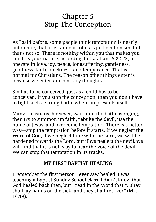# Chapter 5 Stop The Conception

As I said before, some people think temptation is nearly automatic, that a certain part of us is just bent on sin, but that's not so. There is nothing within you that makes you sin. It is your nature, according to Galatians 5:22-23, to operate in love, joy, peace, longsuffering, gentleness, goodness, faith, meekness, and temperance. That is normal for Christians. The reason other things enter is because we entertain contrary thoughts.

Sin has to be conceived, just as a child has to be conceived. If you stop the conception, then you don't have to fight such a strong battle when sin presents itself.

Many Christians, however, wait until the battle is raging, then try to summon up faith, rebuke the devil, use the name of Jesus, and overcome temptation. There is a better way—stop the temptation before it starts. If we neglect the Word of God, if we neglect time with the Lord, we will be hardened towards the Lord, but if we neglect the devil, we will find that it is not easy to hear the voice of the devil. We can stop that temptation in its tracks.

#### **MY FIRST BAPTIST HEALING**

I remember the first person I ever saw healed. I was teaching a Baptist Sunday School class. I didn't know that God healed back then, but I read in the Word that "...they shall lay hands on the sick, and they shall recover" (Mk. 16:18).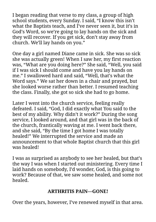I began reading that verse to my class, a group of high school students, every Sunday. I said, "I know this isn't what the Baptists teach, and I've never seen it, but it's in God's Word, so we're going to lay hands on the sick and they will recover. If you get sick, don't stay away from church. We'll lay hands on you."

One day a girl named Diane came in sick. She was so sick she was actually green! When I saw her, my first reaction was, "What are you doing here?" She said, "Well, you said if I was sick I should come and have you lay hands on me." I swallowed hard and said, "Well, that's what the Word says." We sat her down in a chair and prayed, but she looked worse rather than better. I resumed teaching the class. Finally, she got so sick she had to go home.

Later I went into the church service, feeling really defeated. I said, "God, I did exactly what You said to the best of my ability. Why didn't it work?" During the song service, I looked around, and that girl was in the back of the church, frantically waving at me. I went back there, and she said, "By the time I got home I was totally healed!" We interrupted the service and made an announcement to that whole Baptist church that this girl was healed!

I was as surprised as anybody to see her healed, but that's the way I was when I started out ministering. Every time I laid hands on somebody, I'd wonder, God, is this going to work? Because of that, we saw some healed, and some not healed.

# **ARTHRITIS PAIN—GONE!**

Over the years, however, I've renewed myself in that area.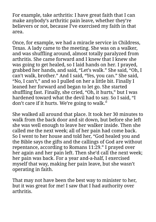For example, take arthritis: I have great faith that I can make anybody's arthritic pain leave, whether they're believers or not, because I've exercised my faith in that area.

Once, for example, we had a miracle service in Childress, Texas. A lady came to the meeting. She was on a walker, and was shuffling around, almost totally paralyzed from arthritis. She came forward and I knew that I knew she was going to get healed, so I laid hands on her. I prayed, grabbed her hands, and said, "Let's walk." She said, "Oh, I can't walk, brother." And I said, "Yes, you can." She said, "No, I can't," and so I pulled on her a little bit. Finally I leaned her forward and began to let go. She started shuffling fast. Finally, she cried, "Oh, it hurts," but I was hardened toward what the devil had to say. So I said, "I don't care if it hurts. We're going to walk."

She walked all around that place. It took her 30 minutes to walk from the back door and sit down, but before she left she was well enough to leave her walker inside. Then she called me the next week; all of her pain had come back. So I went to her house and told her, "God healed you and the Bible says the gifts and the callings of God are without repentance, according to Romans 11:29." I prayed over her again and her pain left. Then she'd call the next week; her pain was back. For a year and-a-half, I exercised myself that way, making her pain leave, but she wasn't operating in faith.

That may not have been the best way to minister to her, but it was great for me! I saw that I had authority over arthritis.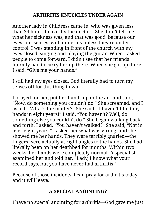# **ARTHRITIS KNUCKLES UNDER AGAIN**

Another lady in Childress came in, who was given less than 24 hours to live, by the doctors. She didn't tell me what her sickness was, and that was good, because our eyes, our senses, will hinder us unless they're under control. I was standing in front of the church with my eyes closed, singing and playing the guitar. When I asked people to come forward, I didn't see that her friends literally had to carry her up there. When she got up there I said, "Give me your hands."

I still had my eyes closed. God literally had to turn my senses off for this thing to work!

I prayed for her, put her hands up in the air, and said, "Now, do something you couldn't do." She screamed, and I asked, "What's the matter?" She said, "I haven't lifted my hands in eight years!" I said, "You haven't? Well, do something else you couldn't do." She began walking back and forth. I asked, "You haven't walked?" She said, "Not in over eight years." I asked her what was wrong, and she showed me her hands. They were terribly gnarled—the fingers were actually at right angles to the hands. She had literally been on her deathbed for months. Within two weeks, her hands were completely normal. A specialist examined her and told her, "Lady, I know what your record says, but you have never had arthritis."

Because of those incidents, I can pray for arthritis today, and it will leave.

# **A SPECIAL ANOINTING?**

I have no special anointing for arthritis—God gave me just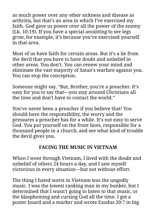as much power over any other sickness and disease as arthritis, but that's an area in which I've exercised my faith. God gave us power over all the power of the enemy (Lk. 10:19). If you have a special anointing to see legs grow, for example, it's because you've exercised yourself in that area.

Most of us have faith for certain areas. But it's a lie from the devil that you have to have doubt and unbelief in other areas. You don't. You can renew your mind and eliminate the vast majority of Satan's warfare against you. You can stop the conception.

Someone might say, "But, Brother, you're a preacher. It's easy for you to say that—you stay around Christians all the time and don't have to contact the world."

You've never been a preacher if you believe that! You should have the responsibility, the worry and the pressures a preacher has for a while. It's not easy to serve God. You put yourself on the front lines, responsible for a thousand people in a church, and see what kind of trouble the devil gives you.

# **FACING THE MUSIC IN VIETNAM**

When I went through Vietnam, I lived with the doubt and unbelief of others 24 hours a day, and I saw myself victorious in every situation—but not without effort.

The thing I hated worst in Vietnam was the ungodly music. I was the lowest ranking man in my bunker, but I determined that I wasn't going to listen to that music, or the blaspheming and cursing God all the time. I got a poster board and a marker and wrote Exodus 20:7 in big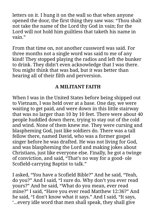letters on it. I hung it on the wall so that when anyone opened the door, the first thing they saw was: "Thou shalt not take the name of the Lord thy God in vain; for the Lord will not hold him guiltless that taketh his name in vain."

From that time on, not another cussword was said. For three months not a single word was said to me of any kind! They stopped playing the radios and left the bunker to drink. They didn't even acknowledge that I was there. You might think that was bad, but it was better than hearing all of their filth and perversion.

#### **A MILITANT FAITH**

When I was in the United States before being shipped out to Vietnam, I was held over at a base. One day, we were waiting to get paid, and were down in this little stairway that was no larger than 10 by 10 feet. There were about 40 people huddled down there, trying to stay out of the cold and wind. None of them knew me. They were cursing and blaspheming God, just like soldiers do. There was a tall fellow there, named David, who was a former gospel singer before he was drafted. He was not living for God, and was blaspheming the Lord and making jokes about Christians, just like everyone else. Finally, he got a twinge of conviction, and said, "That's no way for a good- ole Scofield-carrying Baptist to talk."

I asked, "You have a Scofield Bible?" And he said, "Yeah, do you?" And I said, "I sure do. Why don't you ever read yours?" And he said, "What do you mean, ever read mine?" I said, "Have you ever read Matthew 12:36?" And he said, "I don't know what it says." And I said, "It says, '...every idle word that men shall speak, they shall give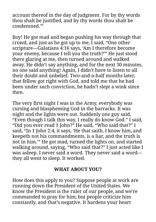account thereof in the day of judgment. For by thy words thou shalt be justified, and by thy words thou shalt be condemned.'"

Boy! He got mad and began pushing his way through that crowd, and just as he got up to me, I said, "One other scripture—Galatians 4:16 says, 'Am I therefore become your enemy, because I tell you the truth?'" He just stood there glaring at me, then turned around and walked away. He didn't say anything, and for the next 30 minutes, no one said anything! Again, I didn't have to listen to all their doubt and unbelief. Two-and-a-half months later, that fellow got right with God, and told me that he had been under such conviction, he hadn't slept a wink since then.

The very first night I was in the Army, everybody was cursing and blaspheming God in the barracks. It was night and the lights were out. Suddenly one guy said, "Even though I talk this way, I really do know God." I said, "Did you ever read 1 John?" He said, "Who said that?" I said, "In 1 John 2:4, it says, 'He that saith, I know him, and keepeth not his commandments, is a liar, and the truth is not in him.'" He got mad, turned the lights on, and started walking around, saying, "Who said that?" I just acted like I was asleep. I never said a word. They never said a word they all went to sleep. It worked.

#### **WHAT ABOUT YOU?**

How does this apply to you? Suppose people at work are running down the President of the United States. We know the President is the ruler of our people, and we're commanded to pray for him; but people criticize him constantly, and that's negative. It hardens your heart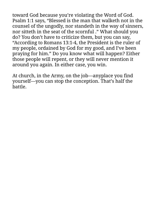toward God because you're violating the Word of God. Psalm 1:1 says, "Blessed is the man that walketh not in the counsel of the ungodly, nor standeth in the way of sinners, nor sitteth in the seat of the scornful ." What should you do? You don't have to criticize them, but you can say, "According to Romans 13:1-4, the President is the ruler of my people, ordained by God for my good, and I've been praying for him." Do you know what will happen? Either those people will repent, or they will never mention it around you again. In either case, you win.

At church, in the Army, on the job—anyplace you find yourself—you can stop the conception. That's half the battle.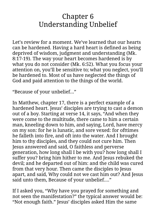# Chapter 6 Understanding Unbelief

Let's review for a moment. We've learned that our hearts can be hardened. Having a hard heart is defined as being deprived of wisdom, judgment and understanding (Mk. 8:17-19). The way your heart becomes hardened is by what you do not consider (Mk. 6:52). What you focus your attention on, you'll be sensitive to; what you neglect, you'll be hardened to. Most of us have neglected the things of God and paid attention to the things of the world.

"Because of your unbelief..."

In Matthew, chapter 17, there is a perfect example of a hardened heart. Jesus' disciples are trying to cast a demon out of a boy. Starting at verse 14, it says, "And when they were come to the multitude, there came to him a certain man, kneeling down to him, and saying, Lord, have mercy on my son: for he is lunatic, and sore vexed: for ofttimes he falleth into fire, and oft into the water. And I brought him to thy disciples, and they could not cure him. Then Jesus answered and said, O faithless and perverse generation, how long shall I be with you? how long shall I suffer you? bring him hither to me. And Jesus rebuked the devil; and he departed out of him: and the child was cured from that very hour. Then came the disciples to Jesus apart, and said, Why could not we cast him out? And Jesus said unto them, Because of your unbelief...."

If I asked you, "Why have you prayed for something and not seen the manifestation?" the typical answer would be: "Not enough faith." Jesus' disciples asked Him the same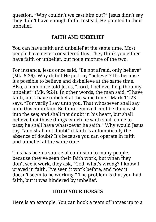question, "Why couldn't we cast him out?" Jesus didn't say they didn't have enough faith. Instead, He pointed to their unbelief.

# **FAITH AND UNBELIEF**

You can have faith and unbelief at the same time. Most people have never considered this. They think you either have faith or unbelief, but not a mixture of the two.

For instance, Jesus once said, "Be not afraid, only believe" (Mk. 5:36). Why didn't He just say "believe"? It's because it's possible to believe and disbelieve at the same time. Also, a man once told Jesus, "Lord, I believe; help thou my unbelief" (Mk. 9:24). In other words, the man said, "I have faith, but I have unbelief at the same time." Mark 11:23 says, "For verily I say unto you, That whosoever shall say unto this mountain, Be thou removed, and be thou cast into the sea; and shall not doubt in his heart, but shall believe that those things which he saith shall come to pass; he shall have whatsoever he saith." Why would Jesus say, "and shall not doubt" if faith is automatically the absence of doubt? It's because you can operate in faith and unbelief at the same time.

This has been a source of confusion to many people, because they've seen their faith work, but when they don't see it work, they ask, "God, what's wrong? I know I prayed in faith. I've seen it work before, and now it doesn't seem to be working." The problem is that you had faith, but it was hindered by unbelief.

# **HOLD YOUR HORSES**

Here is an example. You can hook a team of horses up to a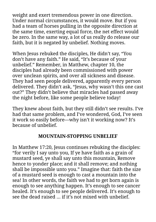weight and exert tremendous power in one direction. Under normal circumstances, it would move. But if you had a team of horses pulling in the opposite direction at the same time, exerting equal force, the net effect would be zero. In the same way, a lot of us really do release our faith, but it is negated by unbelief. Nothing moves.

When Jesus rebuked the disciples, He didn't say, "You don't have any faith." He said, "It's because of your unbelief." Remember, in Matthew, chapter 10, the disciples had already been commissioned with power over unclean spirits, and over all sickness and disease. They had seen people delivered, apparently every person delivered. They didn't ask, "Jesus, why wasn't this one cast out?" They didn't believe that miracles had passed away the night before, like some people believe today!

They knew about faith, but they still didn't see results. I've had that same problem, and I've wondered, God, I've seen it work so easily before—why isn't it working now? It's because of unbelief.

#### **MOUNTAIN-STOPPING UNBELIEF**

In Matthew 17:20, Jesus continues rebuking the disciples: "for verily I say unto you, If ye have faith as a grain of mustard seed, ye shall say unto this mountain, Remove hence to yonder place; and it shall remove; and nothing shall be impossible unto you." Imagine that: faith the size of a mustard seed is enough to cast a mountain into the sea! In other words, the faith we had to get born again is enough to see anything happen. It's enough to see cancer healed. It's enough to see people delivered. It's enough to see the dead raised ... if it's not mixed with unbelief.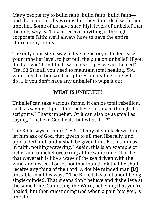Many people try to build faith, build faith, build faith and that's not totally wrong, but they don't deal with their unbelief. Some of us have such high levels of unbelief that the only way we'll ever receive anything is through corporate faith: we'll always have to have the entire church pray for us.

The only consistent way to live in victory is to decrease your unbelief level, to just pull the plug on unbelief. If you do that, you'll find that "with his stripes we are healed" (Isa. 53:5) is all you need to maintain total healing. You won't need a thousand scriptures on healing; one will do ... if you don't have any unbelief to wipe it out.

#### **WHAT IS UNBELIEF?**

Unbelief can take various forms. It can be total rebellion, such as saying, "I just don't believe this, even though it's scripture." That's unbelief. Or it can also be as small as saying, "I believe God heals, but what if... ?"

The Bible says in James 1:5-8, "If any of you lack wisdom, let him ask of God, that giveth to all men liberally, and upbraideth not; and it shall be given him. But let him ask in faith, nothing wavering." Again, this is an example of belief and unbelief occurring at the same time. "For he that wavereth is like a wave of the sea driven with the wind and tossed. For let not that man think that he shall receive any thing of the Lord. A double minded man [is] unstable in all his ways." The Bible talks a lot about being single-minded. That means don't believe and disbelieve at the same time. Confessing the Word, believing that you're healed, but then questioning God when a pain hits you, is unbelief.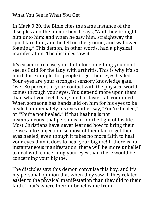#### What You See is What You Get

In Mark 9:20, the Bible cites the same instance of the disciples and the lunatic boy. It says, "And they brought him unto him: and when he saw him, straightway the spirit tare him; and he fell on the ground, and wallowed foaming." This demon, in other words, had a physical manifestation. The disciples saw it.

It's easier to release your faith for something you don't see, as I did for the lady with arthritis. This is why it's so hard, for example, for people to get their eyes healed. Your eyes are your strongest sensory knowledge gate. Over 80 percent of your contact with the physical world comes through your eyes. You depend more upon them than what you feel, hear, smell or taste—all combined. When someone has hands laid on him for his eyes to be healed, immediately his eyes either say, "You're healed," or "You're not healed." If that healing is not instantaneous, that person is in for the fight of his life. Most Christians have never learned how to bring their senses into subjection, so most of them fail to get their eyes healed, even though it takes no more faith to heal your eyes than it does to heal your big toe! If there is no instantaneous manifestation, there will be more unbelief to deal with concerning your eyes than there would be concerning your big toe.

The disciples saw this demon convulse this boy, and it's my personal opinion that when they saw it, they related easier to the physical manifestation than they did to their faith. That's where their unbelief came from.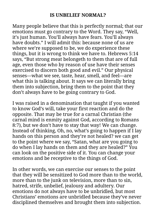#### **IS UNBELIEF NORMAL?**

Many people believe that this is perfectly normal; that our emotions must go contrary to the Word. They say, "Well, it's just human. You'll always have fears. You'll always have doubts." I will admit this: because none of us are where we're supposed to be, we do experience these things, but it is wrong to think we have to. Hebrews 5:14 says, "But strong meat belongeth to them that are of full age, even those who by reason of use have their senses exercised to discern both good and evil." Our physical senses—what we see, taste, hear, smell, and feel—are what this is talking about. It says we can literally bring them into subjection, bring them to the point that they don't always have to be going contrary to God.

I was raised in a denomination that taught if you wanted to know God's will, take your first reaction and do the opposite. That may be true for a carnal Christian (the carnal mind is enmity against God, according to Romans 8:7), but we don't have to stay that way! We can change. Instead of thinking, Oh, no, what's going to happen if I lay hands on this person and they're not healed? we can get to the point where we say, "Satan, what are you going to do when I lay hands on them and they are healed?" You can look on the positive side of it. You can change your emotions and be receptive to the things of God.

In other words, we can exercise our senses to the point that they will be sensitized to God more than to the world, more than to the junk on television, more than to sin, hatred, strife, unbelief, jealousy and adultery. Our emotions do not always have to be unbridled, but most Christians' emotions are unbridled because they've never disciplined themselves and brought them into subjection.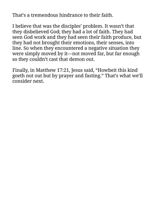That's a tremendous hindrance to their faith.

I believe that was the disciples' problem. It wasn't that they disbelieved God; they had a lot of faith. They had seen God work and they had seen their faith produce, but they had not brought their emotions, their senses, into line. So when they encountered a negative situation they were simply moved by it—not moved far, but far enough so they couldn't cast that demon out.

Finally, in Matthew 17:21, Jesus said, "Howbeit this kind goeth not out but by prayer and fasting." That's what we'll consider next.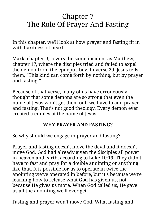# Chapter 7 The Role Of Prayer And Fasting

In this chapter, we'll look at how prayer and fasting fit in with hardness of heart.

Mark, chapter 9, covers the same incident as Matthew, chapter 17, where the disciples tried and failed to expel the demon from the epileptic boy. In verse 29, Jesus tells them, "This kind can come forth by nothing, but by prayer and fasting."

Because of that verse, many of us have erroneously thought that some demons are so strong that even the name of Jesus won't get them out: we have to add prayer and fasting. That's not good theology. Every demon ever created trembles at the name of Jesus.

# **WHY PRAYER AND FASTING?**

So why should we engage in prayer and fasting?

Prayer and fasting doesn't move the devil and it doesn't move God. God had already given the disciples all power in heaven and earth, according to Luke 10:19. They didn't have to fast and pray for a double anointing or anything like that. It is possible for us to operate in twice the anointing we've operated in before, but it's because we're learning how to release what God has given us, not because He gives us more. When God called us, He gave us all the anointing we'll ever get.

Fasting and prayer won't move God. What fasting and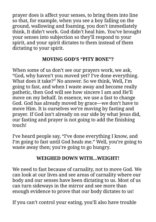prayer does is affect your senses, to bring them into line so that, for example, when you see a boy falling on the ground, wallowing and foaming, you don't immediately think, It didn't work. God didn't heal him. You've brought your senses into subjection so they'll respond to your spirit, and your spirit dictates to them instead of them dictating to your spirit.

# **MOVING GOD'S "PITY BONE"?**

When some of us don't see our prayers work, we ask, "God, why haven't you moved yet? I've done everything. What does it take?" No answer. So we think, Well, I'm going to fast, and when I waste away and become really pathetic, then God will see how sincere I am and He'll move on my behalf. In essence, we use a fast to change God. God has already moved by grace—we don't have to move Him. It is ourselves we're moving by fasting and prayer. If God isn't already on our side by what Jesus did, our fasting and prayer is not going to add the finishing touch!

I've heard people say, "I've done everything I know, and I'm going to fast until God heals me." Well, you're going to waste away then; you're going to go hungry.

# **WEIGHED DOWN WITH...WEIGHT!**

We need to fast because of carnality, not to move God. We can look at our lives and see areas of carnality where our body and our senses have been dictating to us. Most of us can turn sideways in the mirror and see more than enough evidence to prove that our body dictates to us!

If you can't control your eating, you'll also have trouble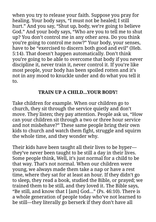when you try to release your faith. Suppose you pray for healing. Your body says, "I must not be healed; I still hurt." And you say, "Shut up, body, we're going to believe God." And your body says, "Who are you to tell me to shut up? You don't control me in any other area. Do you think you're going to control me now?" Your body, your senses, have to be "exercised to discern both good and evil" (Heb. 5:14). That doesn't happen automatically. Don't think you're going to be able to overcome that body if you never discipline it, never train it, never control it. If you're like most people, your body has been spoiled rotten and it's not in any mood to knuckle under and do what you tell it to.

#### **TRAIN UP A CHILD...YOUR BODY!**

Take children for example. When our children go to church, they sit through the service quietly and don't move. They listen; they pay attention. People ask us, "How can your children sit through a two or three hour service and not misbehave?" These same people bring their own kids to church and watch them fight, struggle and squirm the whole time, and they wonder why.

Their kids have been taught all their lives to be hyper they've never been taught to be still a day in their lives. Some people think, Well, it's just normal for a child to be that way. That's not normal. When our children were young, we always made them take a nap or have a rest time, where they sat for at least an hour. If they didn't go to sleep, they read a book, studied the Bible, or prayed; we trained them to be still, and they loved it. The Bible says, "Be still, and know that I [am] God..." (Ps. 46:10). There is a whole generation of people today who've not learned to be still—they literally go berserk if they don't have all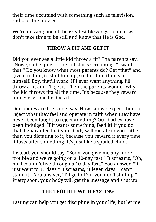their time occupied with something such as television, radio or the movies.

We're missing one of the greatest blessings in life if we don't take time to be still and know that He is God.

# **THROW A FIT AND GET IT**

Did you ever see a little kid throw a fit? The parents say, "Now you be quiet." The kid starts screaming, "I want that!" Do you know what most parents do? Get "that" and give it to him, to shut him up; so the child thinks to himself, Boy, that'll work. If I ever want anything, I'll throw a fit and I'll get it. Then the parents wonder why the kid throws fits all the time. It's because they reward him every time he does it.

Our bodies are the same way. How can we expect them to reject what they feel and operate in faith when they have never been taught to reject anything? Our bodies have been indulged. If it wants something, feed it! If you do that, I guarantee that your body will dictate to you rather than you dictating to it, because you reward it every time it lusts after something. It's just like a spoiled child.

Instead, you should say, "Body, you give me any more trouble and we're going on a 10-day fast." It screams, "Oh, no, I couldn't live through a 10-day fast." You answer, "It just went to 11 days." It screams, "Eleven days! I can't stand it." You answer, "I'll go to 12 if you don't shut up." Pretty soon, your body will get the message and shut up.

# **THE TROUBLE WITH FASTING**

Fasting can help you get discipline in your life, but let me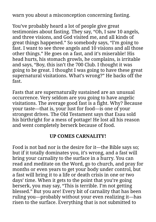warn you about a misconception concerning fasting.

You've probably heard a lot of people give great testimonies about fasting. They say, "Oh, I saw 10 angels, and three visions, and God visited me, and all kinds of great things happened." So somebody says, "I'm going to fast. I want to see three angels and 10 visions and all those other things." He goes on a fast, and it's miserable! His head hurts, his stomach growls, he complains, is irritable and says, "Boy, this isn't the 700 Club. I thought it was going to be great. I thought I was going to have these great supernatural visitations. What's wrong?" He backs off the fast.

Fasts that are supernaturally sustained are an unusual occurrence. Very seldom are you going to have angelic visitations. The average good fast is a fight. Why? Because your taste—that is, your lust for food—is one of your strongest drives. The Old Testament says that Esau sold his birthright for a mess of pottage! He lost all his reason and went completely berserk because of food.

#### **UP COMES CARNALITY!**

Food is not bad nor is the desire for it—the Bible says so; but if it totally dominates you, it's wrong, and a fast will bring your carnality to the surface in a hurry. You can read and meditate on the Word, go to church, and pray for months or even years to get your body under control, but a fast will bring it to a life or death crisis in one or two days' time. When it gets to the point that you're going berserk, you may say, "This is terrible. I'm not getting blessed." But you are! Every bit of carnality that has been ruling you—probably without your even realizing it—has risen to the surface. Everything that is not submitted to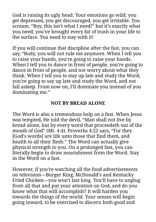God is raising its ugly head. Your emotions go wild: you get depressed, you get discouraged, you get irritable. You scream, "Boy, this isn't what I need!" but it's exactly what you need; you've brought every bit of trash in your life to the surface. You need to stay with it!

If you will continue that discipline after the fast, you can say, "Body, you will not rule me anymore. When I tell you to raise your hands, you're going to raise your hands. When I tell you to dance in front of people, you're going to dance in front of people, and not worry about what they think. When I tell you to stay up late and study the Word, you're going to say up late and study the Word, and not fall asleep. From now on, I'll dominate you instead of you dominating me."

## **NOT BY BREAD ALONE**

The Word is also a tremendous help on a fast. When Jesus was tempted, He told the devil, "Man shall not live by bread alone, but by every word that proceedeth out of the mouth of God" (Mt. 4:4). Proverbs 4:22 says, "For they [God's words] are life unto those that find them, and health to all their flesh." The Word can actually give physical strength to you. On a prolonged fast, you can literally begin to draw nourishment from the Word. Stay in the Word on a fast.

However, if you're watching all the food advertisements on television—Burger King, McDonald's and Kentucky Fried Chicken—you won't last long. You'll have to unplug from all that and put your attention on God, and do you know what that will accomplish? It will harden you towards the things of the world. Your senses will begin going inward, to be exercised to discern both good and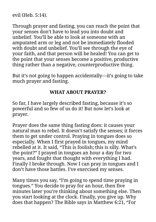evil (Heb. 5:14).

Through prayer and fasting, you can reach the point that your senses don't have to lead you into doubt and unbelief. You'll be able to look at someone with an amputated arm or leg and not be immediately flooded with doubt and unbelief. You'll see through the eye of your faith, and that person will be healed! You can get to the point that your senses become a positive, productive thing rather than a negative, counterproductive thing.

But it's not going to happen accidentally—it's going to take much prayer and fasting.

## **WHAT ABOUT PRAYER?**

So far, I have largely described fasting, because it's so powerful and so few of us do it! But now let's look at prayer.

Prayer does the same thing fasting does: it causes your natural man to rebel. It doesn't satisfy the senses; it forces them to get under control. Praying in tongues does so especially. When I first prayed in tongues, my mind rebelled at it. It said, "This is foolish; this is silly. What's the point?" I prayed in tongues an hour a day for two years, and fought that thought with everything I had. Finally I broke through. Now I can pray in tongues and I don't have those battles. I've exercised my senses.

Many times you say, "I'm going to spend time praying in tongues." You decide to pray for an hour, then five minutes later you're thinking about something else. Then you start looking at the clock. Finally, you give up. Why does that happen? The Bible says in Matthew 6:21, "For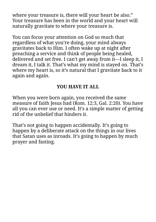where your treasure is, there will your heart be also." Your treasure has been in the world and your heart will naturally gravitate to where your treasure is.

You can focus your attention on God so much that regardless of what you're doing, your mind always gravitates back to Him. I often wake up at night after preaching a service and think of people being healed, delivered and set free. I can't get away from it—I sleep it, I dream it, I talk it. That's what my mind is stayed on. That's where my heart is, so it's natural that I gravitate back to it again and again.

# **YOU HAVE IT ALL**

When you were born again, you received the same measure of faith Jesus had (Rom. 12:3, Gal. 2:20). You have all you can ever use or need. It's a simple matter of getting rid of the unbelief that hinders it.

That's not going to happen accidentally. It's going to happen by a deliberate attack on the things in our lives that Satan uses as inroads. It's going to happen by much prayer and fasting.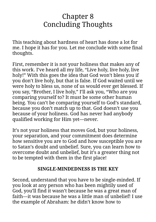# Chapter 8 Concluding Thoughts

This teaching about hardness of heart has done a lot for me. I hope it has for you. Let me conclude with some final thoughts.

First, remember it is not your holiness that makes any of this work. I've heard all my life, "Live holy, live holy, live holy!" With this goes the idea that God won't bless you if you don't live holy, but that is false. If God waited until we were holy to bless us, none of us would ever get blessed. If you say, "Brother, I live holy," I'll ask you, "Who are you comparing yourself to? It must be some other human being. You can't be comparing yourself to God's standard, because you don't match up to that. God doesn't use you because of your holiness. God has never had anybody qualified working for Him yet—never.

It's not your holiness that moves God, but your holiness, your separation, and your commitment does determine how sensitive you are to God and how susceptible you are to Satan's doubt and unbelief. Sure, you can learn how to overcome doubt and unbelief, but it's a greater thing not to be tempted with them in the first place!

## **SINGLE-MINDEDNESS IS THE KEY**

Second, understand that you have to be single-minded. If you look at any person who has been mightily used of God, you'll find it wasn't because he was a great man of faith—it was because he was a little man of unbelief! I use the example of Abraham: he didn't know how to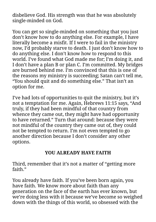disbelieve God. His strength was that he was absolutely single-minded on God.

You can get so single-minded on something that you just don't know how to do anything else. For example, I have literally become a misfit. If I were to fail in the ministry now, I'd probably starve to death. I just don't know how to do anything else. I don't know how to respond to this world. I've found what God made me for; I'm doing it, and I don't have a plan B or plan C. I'm committed. My bridges are burned behind me. I'm convinced that this is one of the reasons my ministry is succeeding; Satan can't tell me, "You should quit and do something else." That isn't an option for me.

I've had lots of opportunities to quit the ministry, but it's not a temptation for me. Again, Hebrews 11:15 says, "And truly, if they had been mindful of that country from whence they came out, they might have had opportunity to have returned." Turn that around: because they were not mindful of the country they came out of, they could not be tempted to return. I'm not even tempted to go another direction because I don't consider any other options.

## **YOU ALREADY HAVE FAITH**

Third, remember that it's not a matter of "getting more faith."

You already have faith. If you've been born again, you have faith. We know more about faith than any generation on the face of the earth has ever known, but we're doing less with it because we've become so weighed down with the things of this world, so obsessed with the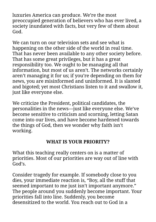luxuries America can produce. We're the most preoccupied generation of believers who has ever lived, a society inundated with facts, but very few of them about God.

We can turn on our television sets and see what is happening on the other side of the world in real time. That has never been available to any other society before. That has some great privileges, but it has a great responsibility too. We ought to be managing all that information, but most of us aren't. The networks certainly aren't managing it for us; if you're depending on them for news, you are misinformed and uninformed. It is slanted and bigoted; yet most Christians listen to it and swallow it, just like everyone else.

We criticize the President, political candidates, the personalities in the news—just like everyone else. We've become sensitive to criticism and scorning, letting Satan come into our lives, and have become hardened towards the things of God, then we wonder why faith isn't working.

# **WHAT IS YOUR PRIORITY?**

What this teaching really centers on is a matter of priorities. Most of our priorities are way out of line with God's.

Consider tragedy for example. If somebody close to you dies, your immediate reaction is, "Boy, all the stuff that seemed important to me just isn't important anymore." The people around you suddenly become important. Your priorities fall into line. Suddenly, you become desensitized to the world. You reach out to God in a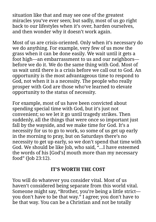situation like that and may see one of the greatest miracles you've ever seen; but sadly, most of us go right back to our lifestyles when it's over, harden ourselves, and then wonder why it doesn't work again.

Most of us are crisis-oriented. Only when it's necessary do we do anything. For example, very few of us mow the grass when it can be done easily. We wait until it gets a foot high—an embarrassment to us and our neighbors before we do it. We do the same thing with God. Most of us wait until there is a crisis before we call out to God. An opportunity is the most advantageous time to respond to God, not when it is a necessity. The people who really prosper with God are those who've learned to elevate opportunity to the status of necessity.

For example, most of us have been convicted about spending special time with God, but it's just not convenient; so we let it go until tragedy strikes. Then suddenly, all the things that were once so important just fall by the wayside, and we make time for God. It's a necessity for us to go to work, so some of us get up early in the morning to pray, but on Saturdays there's no necessity to get up early, so we don't spend that time with God. We should be like Job, who said, "...I have esteemed the words of his [God's] mouth more than my necessary food" (Job 23:12).

## **IT'S WORTH THE COST**

You will do whatever you consider vital. Most of us haven't considered being separate from this world vital. Someone might say, "Brother, you're being a little strict you don't have to be that way." I agree; you don't have to be that way. You can be a Christian and not be totally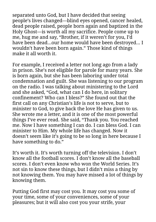separated unto God, but I have decided that seeing people's lives changed—blind eyes opened, cancer healed, dead people raised, people born again and baptized in the Holy Ghost—is worth all my sacrifice. People come up to me, hug me and say, "Brother, if it weren't for you, I'd have been dead...our home would have been destroyed... I wouldn't have been born again." Those kind of things make it all worth it.

For example, I received a letter not long ago from a lady in prison. She's not eligible for parole for many years. She is born again, but she has been laboring under total condemnation and guilt. She was listening to our program on the radio. I was talking about ministering to the Lord and she asked, "God, what can I do here, in solitary confinement? Who can I bless?" She found out that the first call on any Christian's life is not to serve, but to minister to God, to give back the love He has given to us. She wrote me a letter, and it is one of the most powerful things I've ever read. She said, "Thank you. You reached me. Now I have something I can do. I can bless God. I can minister to Him. My whole life has changed. Now it doesn't seem like it's going to be so long in here because I have something to do."

It's worth it. It's worth turning off the television. I don't know all the football scores. I don't know all the baseball scores. I don't even know who won the World Series. It's not sin to know these things, but I didn't miss a thing by not knowing them. You may have missed a lot of things by knowing them.

Putting God first may cost you. It may cost you some of your time, some of your conveniences, some of your pleasures; but it will also cost you your strife, your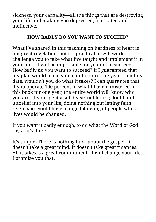sickness, your carnality—all the things that are destroying your life and making you depressed, frustrated and ineffective.

# **HOW BADLY DO YOU WANT TO SUCCEED?**

What I've shared in this teaching on hardness of heart is not great revelation, but it's practical; it will work. I challenge you to take what I've taught and implement it in your life—it will be impossible for you not to succeed. How badly do you want to succeed? If I guaranteed that my plan would make you a millionaire one year from this date, wouldn't you do what it takes? I can guarantee that if you operate 100 percent in what I have ministered in this book for one year, the entire world will know who you are! If you spent a solid year not letting doubt and unbelief into your life, doing nothing but letting faith reign, you would have a huge following of people whose lives would be changed.

If you want it badly enough, to do what the Word of God says—it's there.

It's simple. There is nothing hard about the gospel. It doesn't take a great mind. It doesn't take great finances. All it takes is a great commitment. It will change your life. I promise you that.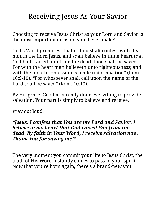# Receiving Jesus As Your Savior

Choosing to receive Jesus Christ as your Lord and Savior is the most important decision you'll ever make!

God's Word promises "that if thou shalt confess with thy mouth the Lord Jesus, and shalt believe in thine heart that God hath raised him from the dead, thou shalt be saved. For with the heart man believeth unto righteousness; and with the mouth confession is made unto salvation" (Rom. 10:9-10). "For whosoever shall call upon the name of the Lord shall be saved" (Rom. 10:13).

By His grace, God has already done everything to provide salvation. Your part is simply to believe and receive.

Pray out loud,

*"Jesus, I confess that You are my Lord and Savior. I believe in my heart that God raised You from the dead. By faith in Your Word, I receive salvation now. Thank You for saving me!"*

The very moment you commit your life to Jesus Christ, the truth of His Word instantly comes to pass in your spirit. Now that you're born again, there's a brand-new you!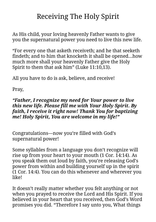# Receiving The Holy Spirit

As His child, your loving heavenly Father wants to give you the supernatural power you need to live this new life.

"For every one that asketh receiveth; and he that seeketh findeth; and to him that knocketh it shall be opened...how much more shall your heavenly Father give the Holy Spirit to them that ask him" (Luke 11:10,13).

All you have to do is ask, believe, and receive!

Pray,

## *"Father, I recognize my need for Your power to live this new life. Please fill me with Your Holy Spirit. By faith, I receive it right now! Thank You for baptizing me! Holy Spirit, You are welcome in my life!"*

Congratulations—now you're filled with God's supernatural power!

Some syllables from a language you don't recognize will rise up from your heart to your mouth (1 Cor. 14:14). As you speak them out loud by faith, you're releasing God's power from within and building yourself up in the spirit (1 Cor. 14:4). You can do this whenever and wherever you like!

It doesn't really matter whether you felt anything or not when you prayed to receive the Lord and His Spirit. If you believed in your heart that you received, then God's Word promises you did. "Therefore I say unto you, What things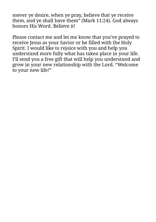soever ye desire, when ye pray, believe that ye receive them, and ye shall have them" (Mark 11:24). God always honors His Word. Believe it!

Please contact me and let me know that you've prayed to receive Jesus as your Savior or be filled with the Holy Spirit. I would like to rejoice with you and help you understand more fully what has taken place in your life. I'll send you a free gift that will help you understand and grow in your new relationship with the Lord. "Welcome to your new life!"